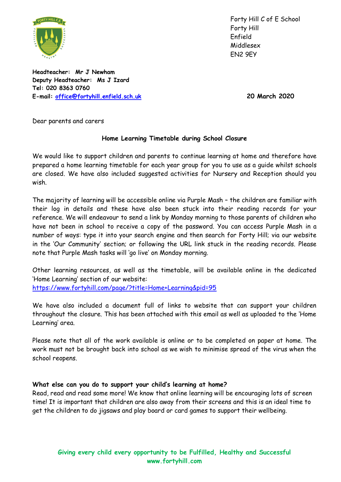

Forty Hill C of E School Forty Hill Enfield Middlesex EN2 9EY

**Headteacher: Mr J Newham Deputy Headteacher: Ms J Izard Tel: 020 8363 0760 E-mail: [office@fortyhill.enfield.sch.uk](mailto:office@fortyhill.enfield.sch.uk) 20 March 2020**

Dear parents and carers

## **Home Learning Timetable during School Closure**

We would like to support children and parents to continue learning at home and therefore have prepared a home learning timetable for each year group for you to use as a guide whilst schools are closed. We have also included suggested activities for Nursery and Reception should you wish.

The majority of learning will be accessible online via Purple Mash – the children are familiar with their log in details and these have also been stuck into their reading records for your reference. We will endeavour to send a link by Monday morning to those parents of children who have not been in school to receive a copy of the password. You can access Purple Mash in a number of ways: type it into your search engine and then search for Forty Hill; via our website in the 'Our Community' section; or following the URL link stuck in the reading records. Please note that Purple Mash tasks will 'go live' on Monday morning.

Other learning resources, as well as the timetable, will be available online in the dedicated 'Home Learning' section of our website:

<https://www.fortyhill.com/page/?title=Home+Learning&pid=95>

We have also included a document full of links to website that can support your children throughout the closure. This has been attached with this email as well as uploaded to the 'Home Learning' area.

Please note that all of the work available is online or to be completed on paper at home. The work must not be brought back into school as we wish to minimise spread of the virus when the school reopens.

## **What else can you do to support your child's learning at home?**

Read, read and read some more! We know that online learning will be encouraging lots of screen time! It is important that children are also away from their screens and this is an ideal time to get the children to do jigsaws and play board or card games to support their wellbeing.